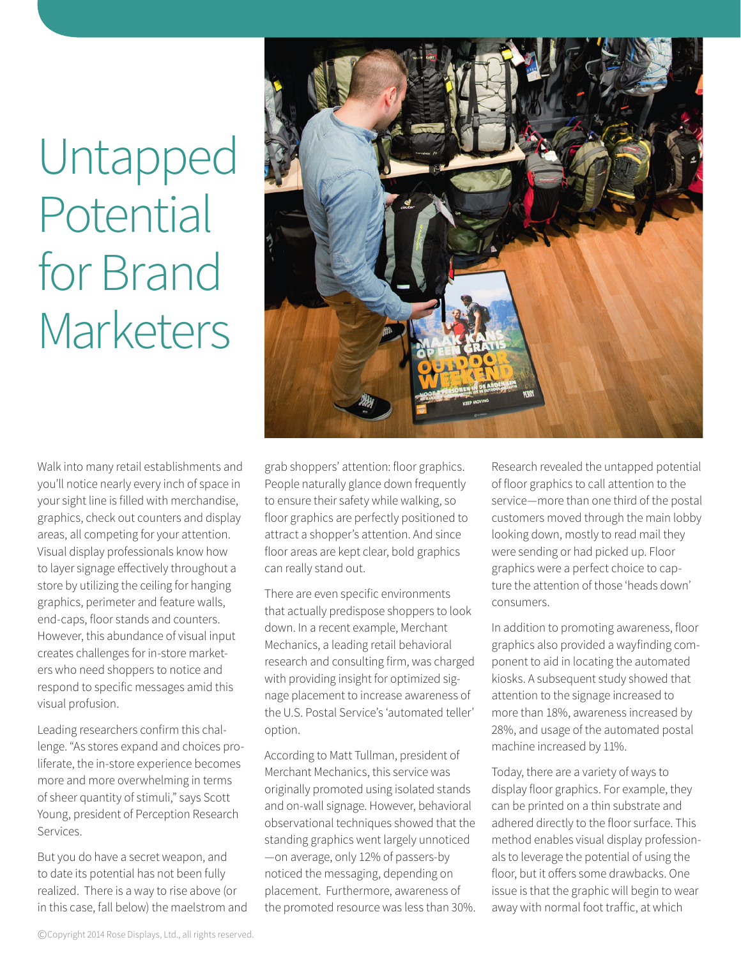## Untapped Potential for Brand **Marketers**



Walk into many retail establishments and you'll notice nearly every inch of space in your sight line is filled with merchandise, graphics, check out counters and display areas, all competing for your attention. Visual display professionals know how to layer signage effectively throughout a store by utilizing the ceiling for hanging graphics, perimeter and feature walls, end-caps, floor stands and counters. However, this abundance of visual input creates challenges for in-store marketers who need shoppers to notice and respond to specific messages amid this visual profusion.

Leading researchers confirm this challenge. "As stores expand and choices proliferate, the in-store experience becomes more and more overwhelming in terms of sheer quantity of stimuli," says Scott Young, president of Perception Research Services.

But you do have a secret weapon, and to date its potential has not been fully realized. There is a way to rise above (or in this case, fall below) the maelstrom and grab shoppers' attention: floor graphics. People naturally glance down frequently to ensure their safety while walking, so floor graphics are perfectly positioned to attract a shopper's attention. And since floor areas are kept clear, bold graphics can really stand out.

There are even specific environments that actually predispose shoppers to look down. In a recent example, Merchant Mechanics, a leading retail behavioral research and consulting firm, was charged with providing insight for optimized signage placement to increase awareness of the U.S. Postal Service's 'automated teller' option.

According to Matt Tullman, president of Merchant Mechanics, this service was originally promoted using isolated stands and on-wall signage. However, behavioral observational techniques showed that the standing graphics went largely unnoticed —on average, only 12% of passers-by noticed the messaging, depending on placement. Furthermore, awareness of the promoted resource was less than 30%. Research revealed the untapped potential of floor graphics to call attention to the service—more than one third of the postal customers moved through the main lobby looking down, mostly to read mail they were sending or had picked up. Floor graphics were a perfect choice to capture the attention of those 'heads down' consumers.

In addition to promoting awareness, floor graphics also provided a wayfinding component to aid in locating the automated kiosks. A subsequent study showed that attention to the signage increased to more than 18%, awareness increased by 28%, and usage of the automated postal machine increased by 11%.

Today, there are a variety of ways to display floor graphics. For example, they can be printed on a thin substrate and adhered directly to the floor surface. This method enables visual display professionals to leverage the potential of using the floor, but it offers some drawbacks. One issue is that the graphic will begin to wear away with normal foot traffic, at which